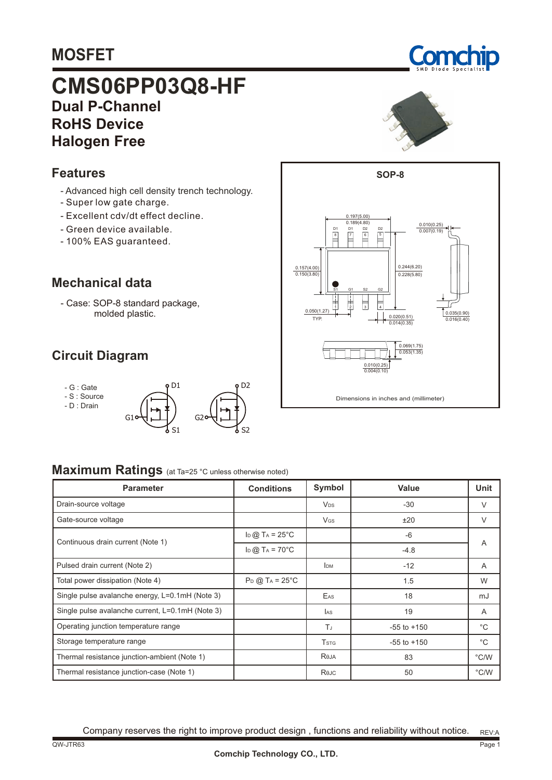# **MOSFET**

# **CMS06PP03Q8-HF RoHS Device Dual P-Channel Halogen Free**

### **Features**

- Advanced high cell density trench technology.
- Super low gate charge.
- Excellent cdv/dt effect decline.
- Green device available.
- 100% EAS guaranteed.

#### **Mechanical data**

- Case: SOP-8 standard package, molded plastic.

 $G<sub>1</sub>$ 

## **Circuit Diagram**

- G : Gate

- S : Source

- D : Drain





#### **Maximum Ratings** (at Ta=25 °C unless otherwise noted)

| <b>Parameter</b>                                 | <b>Conditions</b>             | Symbol                  | Value           | <b>Unit</b>   |  |
|--------------------------------------------------|-------------------------------|-------------------------|-----------------|---------------|--|
| Drain-source voltage                             |                               | <b>V<sub>DS</sub></b>   | $-30$           | V             |  |
| Gate-source voltage                              |                               | <b>V<sub>GS</sub></b>   | ±20             | $\vee$        |  |
| Continuous drain current (Note 1)                | $\ln$ @ T <sub>A</sub> = 25°C |                         | -6              | A             |  |
|                                                  | $\ln$ @ T <sub>A</sub> = 70°C |                         | $-4.8$          |               |  |
| Pulsed drain current (Note 2)                    |                               | <b>IDM</b>              | $-12$           | A             |  |
| Total power dissipation (Note 4)                 | $P_D$ @ T <sub>A</sub> = 25°C |                         | 1.5             | W             |  |
| Single pulse avalanche energy, L=0.1mH (Note 3)  |                               | EAS                     | 18              | mJ            |  |
| Single pulse avalanche current, L=0.1mH (Note 3) |                               | <b>JAS</b>              | 19              | A             |  |
| Operating junction temperature range             |                               | T.                      | $-55$ to $+150$ | $^{\circ}C$   |  |
| Storage temperature range                        |                               | <b>T</b> <sub>STG</sub> | $-55$ to $+150$ | $^{\circ}$ C  |  |
| Thermal resistance junction-ambient (Note 1)     |                               | Reja                    | 83              | $\degree$ C/W |  |
| Thermal resistance junction-case (Note 1)        |                               | Rejc                    | 50              | °C/W          |  |

S2

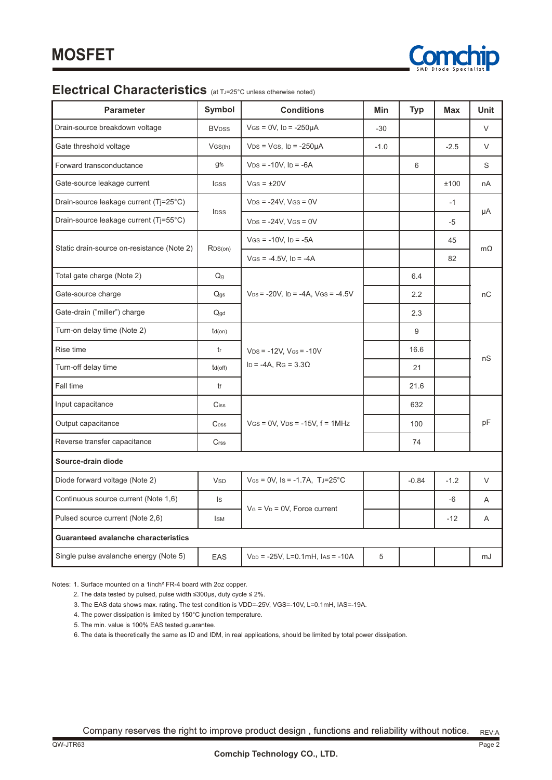

## **Electrical Characteristics** (at TJ=25°C unless otherwise noted)

| <b>Parameter</b>                           | Symbol                       | <b>Conditions</b>                                               | Min    | <b>Typ</b> | <b>Max</b> | <b>Unit</b> |  |
|--------------------------------------------|------------------------------|-----------------------------------------------------------------|--------|------------|------------|-------------|--|
| Drain-source breakdown voltage             | <b>BV<sub>DSS</sub></b>      | $V$ GS = 0V, ID = -250µA                                        | $-30$  |            |            | V           |  |
| Gate threshold voltage                     | VGS(th)                      | $VDS = VGS$ , $ID = -250\mu A$                                  | $-1.0$ |            | $-2.5$     | V           |  |
| Forward transconductance                   | gfs                          | $VDS = -10V$ , $ID = -6A$                                       |        | 6          |            | S           |  |
| Gate-source leakage current                | IGSS                         | $V$ GS = $\pm$ 20V                                              |        |            | ±100       | nA          |  |
| Drain-source leakage current (Tj=25°C)     |                              | $VDS = -24V$ , $VGS = 0V$                                       |        |            | $-1$       |             |  |
| Drain-source leakage current (Tj=55°C)     | <b>IDSS</b>                  | $VDS = -24V$ , $VGS = 0V$                                       |        |            | -5         | μA          |  |
| Static drain-source on-resistance (Note 2) | RDS(on)                      | $V$ GS = -10V, ID = -5A                                         |        |            | 45         |             |  |
|                                            |                              | $V$ GS = -4.5V, ID = -4A                                        |        |            | 82         | $m\Omega$   |  |
| Total gate charge (Note 2)                 | $\mathsf{Q} \mathsf{g}$      |                                                                 |        | 6.4        |            | пC          |  |
| Gate-source charge                         | Q <sub>gs</sub>              | $V_{DS}$ = -20V, ID = -4A, VGS = -4.5V                          |        | 2.2        |            |             |  |
| Gate-drain ("miller") charge               | Qgd                          |                                                                 | 2.3    |            |            |             |  |
| Turn-on delay time (Note 2)                | $td($ on $)$                 | $V_{DS} = -12V$ , $V_{GS} = -10V$<br>ID = -4A, RG = $3.3\Omega$ |        | 9          |            | nS          |  |
| Rise time                                  | tr                           |                                                                 |        | 16.6       |            |             |  |
| Turn-off delay time                        | $td($ off $)$                |                                                                 |        | 21         |            |             |  |
| <b>Fall time</b>                           | tf                           |                                                                 |        | 21.6       |            |             |  |
| Input capacitance                          | $\mathop{\sf Ciss}\nolimits$ |                                                                 |        | 632        |            |             |  |
| Output capacitance                         | Coss                         | $V$ GS = 0V, $V$ DS = -15V, $f = 1$ MHz                         |        | 100        |            | pF          |  |
| Reverse transfer capacitance               | $C$ rss                      |                                                                 |        | 74         |            |             |  |
| Source-drain diode                         |                              |                                                                 |        |            |            |             |  |
| Diode forward voltage (Note 2)             | <b>V<sub>SD</sub></b>        | $V_{GS} = 0V$ , Is = -1.7A, TJ=25°C                             |        | $-0.84$    | $-1.2$     | V           |  |
| Continuous source current (Note 1,6)       | $\mathsf{ls}$                |                                                                 |        |            | -6         | A           |  |
| Pulsed source current (Note 2,6)           | <b>ISM</b>                   | $V_G = V_D = 0V$ , Force current                                |        |            | $-12$      | A           |  |
| Guaranteed avalanche characteristics       |                              |                                                                 |        |            |            |             |  |
| Single pulse avalanche energy (Note 5)     | EAS                          | $V_{DD}$ = -25V, L=0.1mH, las = -10A                            | 5      |            |            | mJ          |  |

Notes: 1. Surface mounted on a 1inch² FR-4 board with 2oz copper.

- 2. The data tested by pulsed, pulse width ≤300µs, duty cycle ≤ 2%.
- 3. The EAS data shows max. rating. The test condition is VDD=-25V, VGS=-10V, L=0.1mH, IAS=-19A.
- 4. The power dissipation is limited by 150°C junction temperature.
- 5. The min. value is 100% EAS tested guarantee.
- 6. The data is theoretically the same as ID and IDM, in real applications, should be limited by total power dissipation.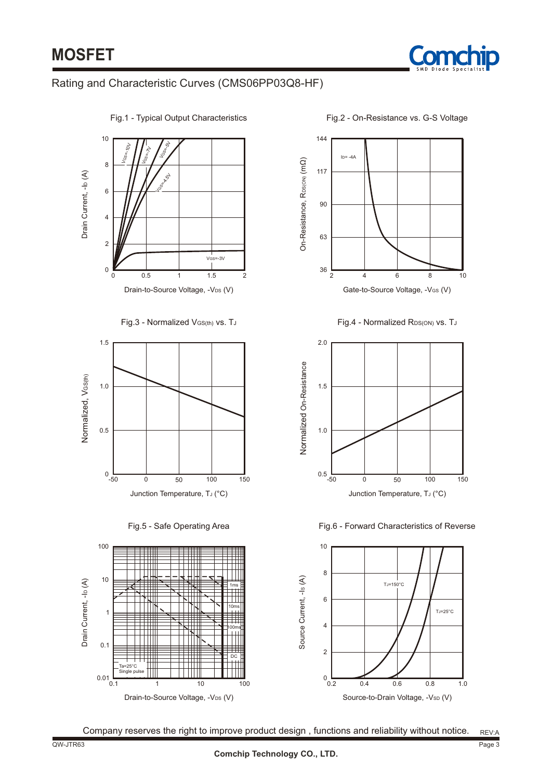

#### Rating and Characteristic Curves (CMS06PP03Q8-HF)



Fig.2 - On-Resistance vs. G-S Voltage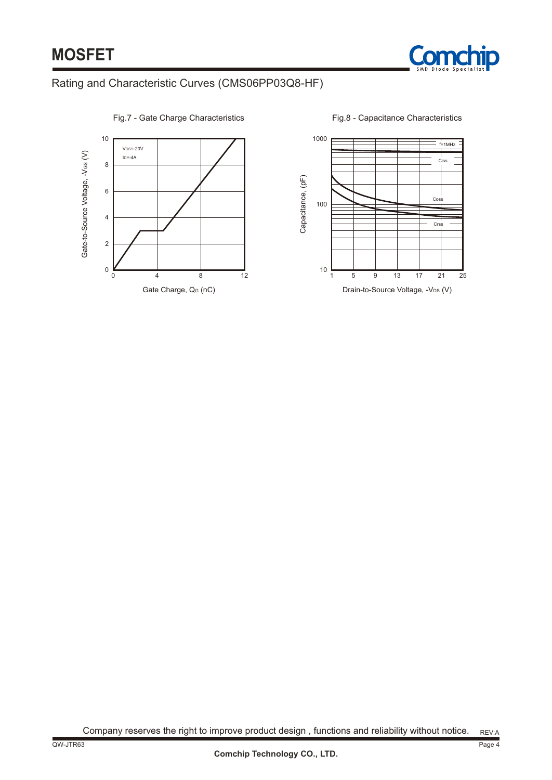

#### Rating and Characteristic Curves (CMS06PP03Q8-HF)



Fig.7 - Gate Charge Characteristics

Fig.8 - Capacitance Characteristics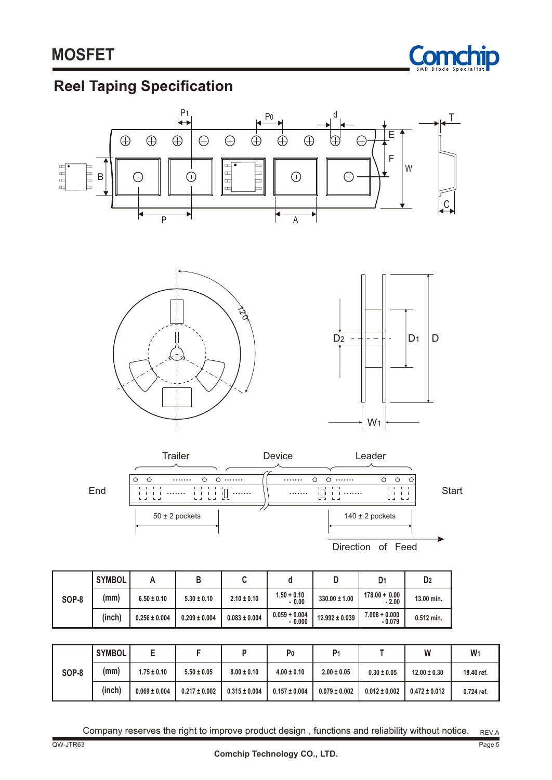

# **Reel Taping Specification**



|       | <b>SYMBOL</b> | -                 |                   |                   | P <sub>0</sub>    | P <sub>1</sub>    |                   | W                 | W          |
|-------|---------------|-------------------|-------------------|-------------------|-------------------|-------------------|-------------------|-------------------|------------|
| SOP-8 | (mm)          | $1.75 \pm 0.10$   | $5.50 \pm 0.05$   | $8.00 \pm 0.10$   | $4.00 \pm 0.10$   | $2.00 \pm 0.05$   | $0.30 \pm 0.05$   | $12.00 \pm 0.30$  | 18.40 ref. |
|       | (inch)        | $0.069 \pm 0.004$ | $0.217 \pm 0.002$ | $0.315 \pm 0.004$ | $0.157 \pm 0.004$ | $0.079 \pm 0.002$ | $0.012 \pm 0.002$ | $0.472 \pm 0.012$ | 0.724 ref. |